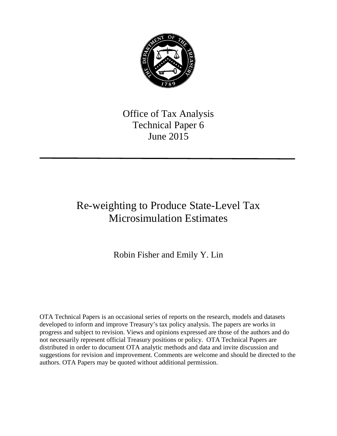

Office of Tax Analysis Technical Paper 6 June 2015

# Re-weighting to Produce State-Level Tax Microsimulation Estimates

Robin Fisher and Emily Y. Lin

OTA Technical Papers is an occasional series of reports on the research, models and datasets developed to inform and improve Treasury's tax policy analysis. The papers are works in progress and subject to revision. Views and opinions expressed are those of the authors and do not necessarily represent official Treasury positions or policy. OTA Technical Papers are distributed in order to document OTA analytic methods and data and invite discussion and suggestions for revision and improvement. Comments are welcome and should be directed to the authors. OTA Papers may be quoted without additional permission.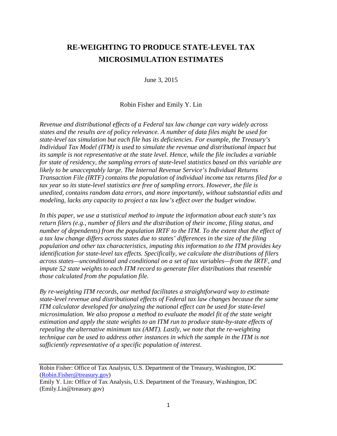# **RE-WEIGHTING TO PRODUCE STATE-LEVEL TAX MICROSIMULATION ESTIMATES**

June 3, 2015

Robin Fisher and Emily Y. Lin

*Revenue and distributional effects of a Federal tax law change can vary widely across states and the results are of policy relevance. A number of data files might be used for state-level tax simulation but each file has its deficiencies. For example, the Treasury's Individual Tax Model (ITM) is used to simulate the revenue and distributional impact but its sample is not representative at the state level. Hence, while the file includes a variable for state of residency, the sampling errors of state-level statistics based on this variable are likely to be unacceptably large. The Internal Revenue Service's Individual Returns Transaction File (IRTF) contains the population of individual income tax returns filed for a tax year so its state-level statistics are free of sampling errors. However, the file is unedited, contains random data errors, and more importantly, without substantial edits and modeling, lacks any capacity to project a tax law's effect over the budget window.*

*In this paper, we use a statistical method to impute the information about each state's tax return filers (e.g., number of filers and the distribution of their income, filing status, and number of dependents) from the population IRTF to the ITM. To the extent that the effect of a tax law change differs across states due to states' differences in the size of the filing population and other tax characteristics, imputing this information to the ITM provides key identification for state-level tax effects. Specifically, we calculate the distributions of filers across states—unconditional and conditional on a set of tax variables—from the IRTF, and impute 52 state weights to each ITM record to generate filer distributions that resemble those calculated from the population file.* 

*By re-weighting ITM records, our method facilitates a straightforward way to estimate state-level revenue and distributional effects of Federal tax law changes because the same ITM calculator developed for analyzing the national effect can be used for state-level microsimulation. We also propose a method to evaluate the model fit of the state weight estimation and apply the state weights to an ITM run to produce state-by-state effects of repealing the alternative minimum tax (AMT). Lastly, we note that the re-weighting technique can be used to address other instances in which the sample in the ITM is not sufficiently representative of a specific population of interest.*

Robin Fisher: Office of Tax Analysis, U.S. Department of the Treasury, Washington, DC [\(Robin.Fisher@treasury.gov\)](mailto:Robin.Fisher@treasury.gov)

Emily Y. Lin: Office of Tax Analysis, U.S. Department of the Treasury, Washington, DC (Emily.Lin@treasury.gov)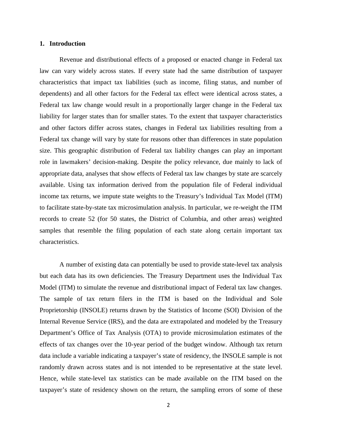#### **1. Introduction**

Revenue and distributional effects of a proposed or enacted change in Federal tax law can vary widely across states. If every state had the same distribution of taxpayer characteristics that impact tax liabilities (such as income, filing status, and number of dependents) and all other factors for the Federal tax effect were identical across states, a Federal tax law change would result in a proportionally larger change in the Federal tax liability for larger states than for smaller states. To the extent that taxpayer characteristics and other factors differ across states, changes in Federal tax liabilities resulting from a Federal tax change will vary by state for reasons other than differences in state population size. This geographic distribution of Federal tax liability changes can play an important role in lawmakers' decision-making. Despite the policy relevance, due mainly to lack of appropriate data, analyses that show effects of Federal tax law changes by state are scarcely available. Using tax information derived from the population file of Federal individual income tax returns, we impute state weights to the Treasury's Individual Tax Model (ITM) to facilitate state-by-state tax microsimulation analysis. In particular, we re-weight the ITM records to create 52 (for 50 states, the District of Columbia, and other areas) weighted samples that resemble the filing population of each state along certain important tax characteristics.

A number of existing data can potentially be used to provide state-level tax analysis but each data has its own deficiencies. The Treasury Department uses the Individual Tax Model (ITM) to simulate the revenue and distributional impact of Federal tax law changes. The sample of tax return filers in the ITM is based on the Individual and Sole Proprietorship (INSOLE) returns drawn by the Statistics of Income (SOI) Division of the Internal Revenue Service (IRS), and the data are extrapolated and modeled by the Treasury Department's Office of Tax Analysis (OTA) to provide microsimulation estimates of the effects of tax changes over the 10-year period of the budget window. Although tax return data include a variable indicating a taxpayer's state of residency, the INSOLE sample is not randomly drawn across states and is not intended to be representative at the state level. Hence, while state-level tax statistics can be made available on the ITM based on the taxpayer's state of residency shown on the return, the sampling errors of some of these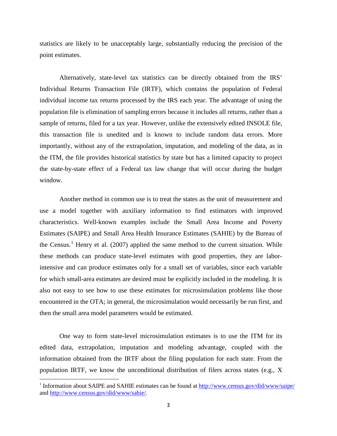statistics are likely to be unacceptably large, substantially reducing the precision of the point estimates.

Alternatively, state-level tax statistics can be directly obtained from the IRS' Individual Returns Transaction File (IRTF), which contains the population of Federal individual income tax returns processed by the IRS each year. The advantage of using the population file is elimination of sampling errors because it includes all returns, rather than a sample of returns, filed for a tax year. However, unlike the extensively edited INSOLE file, this transaction file is unedited and is known to include random data errors. More importantly, without any of the extrapolation, imputation, and modeling of the data, as in the ITM, the file provides historical statistics by state but has a limited capacity to project the state-by-state effect of a Federal tax law change that will occur during the budget window.

Another method in common use is to treat the states as the unit of measurement and use a model together with auxiliary information to find estimators with improved characteristics. Well-known examples include the Small Area Income and Poverty Estimates (SAIPE) and Small Area Health Insurance Estimates (SAHIE) by the Bureau of the Census.<sup>[1](#page-3-0)</sup> Henry et al. (2007) applied the same method to the current situation. While these methods can produce state-level estimates with good properties, they are laborintensive and can produce estimates only for a small set of variables, since each variable for which small-area estimates are desired must be explicitly included in the modeling. It is also not easy to see how to use these estimates for microsimulation problems like those encountered in the OTA; in general, the microsimulation would necessarily be run first, and then the small area model parameters would be estimated.

One way to form state-level microsimulation estimates is to use the ITM for its edited data, extrapolation, imputation and modeling advantage, coupled with the information obtained from the IRTF about the filing population for each state. From the population IRTF, we know the unconditional distribution of filers across states (e.g., X

<span id="page-3-0"></span><sup>&</sup>lt;sup>1</sup> Information about SAIPE and SAHIE estimates can be found at <http://www.census.gov/did/www/saipe/> and [http://www.census.gov/did/www/sahie/.](http://www.census.gov/did/www/sahie/)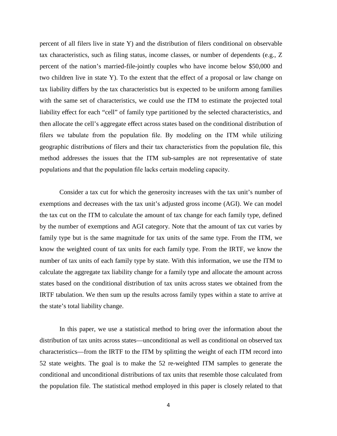percent of all filers live in state Y) and the distribution of filers conditional on observable tax characteristics, such as filing status, income classes, or number of dependents (e.g., Z percent of the nation's married-file-jointly couples who have income below \$50,000 and two children live in state Y). To the extent that the effect of a proposal or law change on tax liability differs by the tax characteristics but is expected to be uniform among families with the same set of characteristics, we could use the ITM to estimate the projected total liability effect for each "cell" of family type partitioned by the selected characteristics, and then allocate the cell's aggregate effect across states based on the conditional distribution of filers we tabulate from the population file. By modeling on the ITM while utilizing geographic distributions of filers and their tax characteristics from the population file, this method addresses the issues that the ITM sub-samples are not representative of state populations and that the population file lacks certain modeling capacity.

Consider a tax cut for which the generosity increases with the tax unit's number of exemptions and decreases with the tax unit's adjusted gross income (AGI). We can model the tax cut on the ITM to calculate the amount of tax change for each family type, defined by the number of exemptions and AGI category. Note that the amount of tax cut varies by family type but is the same magnitude for tax units of the same type. From the ITM, we know the weighted count of tax units for each family type. From the IRTF, we know the number of tax units of each family type by state. With this information, we use the ITM to calculate the aggregate tax liability change for a family type and allocate the amount across states based on the conditional distribution of tax units across states we obtained from the IRTF tabulation. We then sum up the results across family types within a state to arrive at the state's total liability change.

In this paper, we use a statistical method to bring over the information about the distribution of tax units across states—unconditional as well as conditional on observed tax characteristics—from the IRTF to the ITM by splitting the weight of each ITM record into 52 state weights. The goal is to make the 52 re-weighted ITM samples to generate the conditional and unconditional distributions of tax units that resemble those calculated from the population file. The statistical method employed in this paper is closely related to that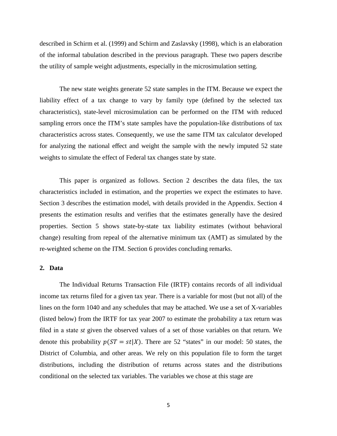described in Schirm et al. (1999) and Schirm and Zaslavsky (1998), which is an elaboration of the informal tabulation described in the previous paragraph. These two papers describe the utility of sample weight adjustments, especially in the microsimulation setting.

The new state weights generate 52 state samples in the ITM. Because we expect the liability effect of a tax change to vary by family type (defined by the selected tax characteristics), state-level microsimulation can be performed on the ITM with reduced sampling errors once the ITM's state samples have the population-like distributions of tax characteristics across states. Consequently, we use the same ITM tax calculator developed for analyzing the national effect and weight the sample with the newly imputed 52 state weights to simulate the effect of Federal tax changes state by state.

This paper is organized as follows. Section 2 describes the data files, the tax characteristics included in estimation, and the properties we expect the estimates to have. Section 3 describes the estimation model, with details provided in the Appendix. Section 4 presents the estimation results and verifies that the estimates generally have the desired properties. Section 5 shows state-by-state tax liability estimates (without behavioral change) resulting from repeal of the alternative minimum tax (AMT) as simulated by the re-weighted scheme on the ITM. Section 6 provides concluding remarks.

### **2. Data**

The Individual Returns Transaction File (IRTF) contains records of all individual income tax returns filed for a given tax year. There is a variable for most (but not all) of the lines on the form 1040 and any schedules that may be attached. We use a set of X-variables (listed below) from the IRTF for tax year 2007 to estimate the probability a tax return was filed in a state *st* given the observed values of a set of those variables on that return. We denote this probability  $p(ST = st|X)$ . There are 52 "states" in our model: 50 states, the District of Columbia, and other areas. We rely on this population file to form the target distributions, including the distribution of returns across states and the distributions conditional on the selected tax variables. The variables we chose at this stage are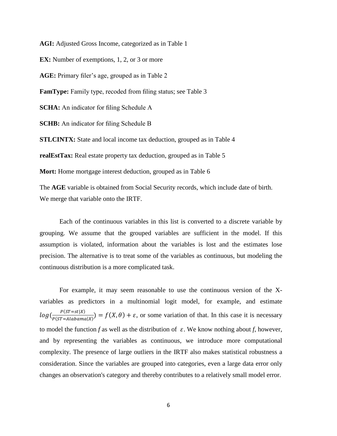**AGI:** Adjusted Gross Income, categorized as in Table 1 **EX:** Number of exemptions, 1, 2, or 3 or more **AGE:** Primary filer's age, grouped as in Table 2 **FamType:** Family type, recoded from filing status; see Table 3 **SCHA:** An indicator for filing Schedule A **SCHB:** An indicator for filing Schedule B **STLCINTX:** State and local income tax deduction, grouped as in Table 4 **realEstTax:** Real estate property tax deduction, grouped as in Table 5 **Mort:** Home mortgage interest deduction, grouped as in Table 6 The **AGE** variable is obtained from Social Security records, which include date of birth.

We merge that variable onto the IRTF.

Each of the continuous variables in this list is converted to a discrete variable by grouping. We assume that the grouped variables are sufficient in the model. If this assumption is violated, information about the variables is lost and the estimates lose precision. The alternative is to treat some of the variables as continuous, but modeling the continuous distribution is a more complicated task.

For example, it may seem reasonable to use the continuous version of the Xvariables as predictors in a multinomial logit model, for example, and estimate  $log(\frac{P(ST = st|X)}{P(ST = Alabama|X)} = f(X, \theta) + \varepsilon$ , or some variation of that. In this case it is necessary to model the function *f* as well as the distribution of  $\varepsilon$ . We know nothing about *f*, however, and by representing the variables as continuous, we introduce more computational complexity. The presence of large outliers in the IRTF also makes statistical robustness a consideration. Since the variables are grouped into categories, even a large data error only changes an observation's category and thereby contributes to a relatively small model error.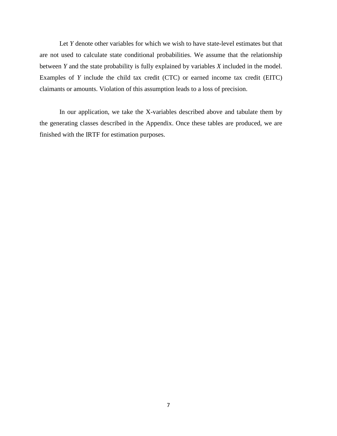Let *Y* denote other variables for which we wish to have state-level estimates but that are not used to calculate state conditional probabilities. We assume that the relationship between *Y* and the state probability is fully explained by variables *X* included in the model. Examples of *Y* include the child tax credit (CTC) or earned income tax credit (EITC) claimants or amounts. Violation of this assumption leads to a loss of precision.

In our application, we take the X-variables described above and tabulate them by the generating classes described in the Appendix. Once these tables are produced, we are finished with the IRTF for estimation purposes.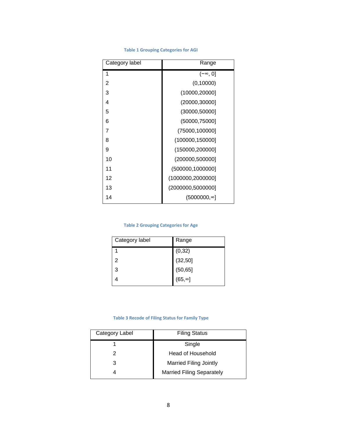| Category label | Range               |  |  |
|----------------|---------------------|--|--|
| 1              | $(-\infty, 0]$      |  |  |
| $\overline{2}$ | (0,10000)           |  |  |
| 3              | (10000, 20000]      |  |  |
| 4              | (20000, 30000]      |  |  |
| 5              | (30000, 50000]      |  |  |
| 6              | (50000, 75000]      |  |  |
| 7              | (75000,100000]      |  |  |
| 8              | (100000, 150000]    |  |  |
| 9              | (150000,200000]     |  |  |
| 10             | (200000,500000]     |  |  |
| 11             | (500000, 1000000]   |  |  |
| 12             | (1000000, 2000000]  |  |  |
| 13             | (2000000,5000000]   |  |  |
| 14             | $(5000000, \infty)$ |  |  |
|                |                     |  |  |

#### **Table 1 Grouping Categories for AGI**

#### **Table 2 Grouping Categories for Age**

| Category label | Range          |
|----------------|----------------|
|                | (0, 32)        |
| 2              | (32, 50)       |
| 3              | (50, 65]       |
|                | $(65, \infty)$ |

#### **Table 3 Recode of Filing Status for Family Type**

| <b>Filing Status</b>             |  |
|----------------------------------|--|
| Single                           |  |
| Head of Household                |  |
| <b>Married Filing Jointly</b>    |  |
| <b>Married Filing Separately</b> |  |
|                                  |  |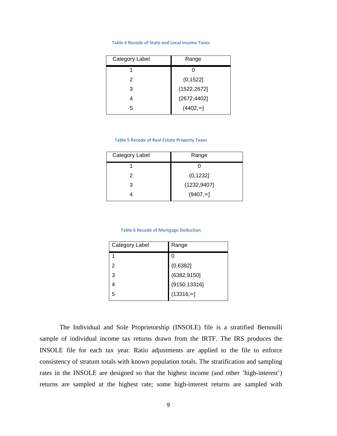#### **Table 4 Recode of State and Local Income Taxes**

| Category Label | Range        |  |  |
|----------------|--------------|--|--|
|                |              |  |  |
| 2              | (0, 1522]    |  |  |
| 3              | (1522, 2672] |  |  |
|                | (2672, 4402] |  |  |
| 5              | (4402, ∞]    |  |  |

#### **Table 5 Recode of Real Estate Property Taxes**

| Category Label | Range            |  |
|----------------|------------------|--|
|                |                  |  |
| 2              | (0, 1232]        |  |
| 3              | (1232, 9407)     |  |
|                | $(9407, \infty)$ |  |

#### **Table 6 Recode of Mortgage Deduction**

| Category Label | Range             |
|----------------|-------------------|
|                | Ω                 |
| 2              | (0,6382]          |
| 3              | (6382, 9150]      |
|                | (9150, 13316]     |
| 5              | $(13316, \infty)$ |

The Individual and Sole Proprietorship (INSOLE) file is a stratified Bernoulli sample of individual income tax returns drawn from the IRTF. The IRS produces the INSOLE file for each tax year. Ratio adjustments are applied to the file to enforce consistency of stratum totals with known population totals. The stratification and sampling rates in the INSOLE are designed so that the highest income (and other 'high-interest') returns are sampled at the highest rate; some high-interest returns are sampled with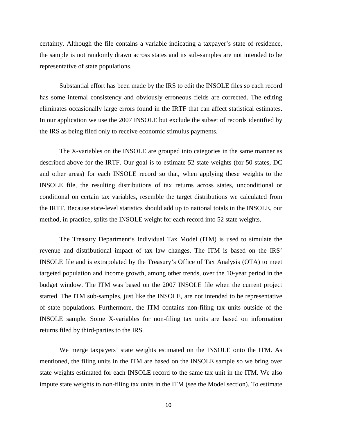certainty. Although the file contains a variable indicating a taxpayer's state of residence, the sample is not randomly drawn across states and its sub-samples are not intended to be representative of state populations.

Substantial effort has been made by the IRS to edit the INSOLE files so each record has some internal consistency and obviously erroneous fields are corrected. The editing eliminates occasionally large errors found in the IRTF that can affect statistical estimates. In our application we use the 2007 INSOLE but exclude the subset of records identified by the IRS as being filed only to receive economic stimulus payments.

The X-variables on the INSOLE are grouped into categories in the same manner as described above for the IRTF. Our goal is to estimate 52 state weights (for 50 states, DC and other areas) for each INSOLE record so that, when applying these weights to the INSOLE file, the resulting distributions of tax returns across states, unconditional or conditional on certain tax variables, resemble the target distributions we calculated from the IRTF. Because state-level statistics should add up to national totals in the INSOLE, our method, in practice, splits the INSOLE weight for each record into 52 state weights.

The Treasury Department's Individual Tax Model (ITM) is used to simulate the revenue and distributional impact of tax law changes. The ITM is based on the IRS' INSOLE file and is extrapolated by the Treasury's Office of Tax Analysis (OTA) to meet targeted population and income growth, among other trends, over the 10-year period in the budget window. The ITM was based on the 2007 INSOLE file when the current project started. The ITM sub-samples, just like the INSOLE, are not intended to be representative of state populations. Furthermore, the ITM contains non-filing tax units outside of the INSOLE sample. Some X-variables for non-filing tax units are based on information returns filed by third-parties to the IRS.

We merge taxpayers' state weights estimated on the INSOLE onto the ITM. As mentioned, the filing units in the ITM are based on the INSOLE sample so we bring over state weights estimated for each INSOLE record to the same tax unit in the ITM. We also impute state weights to non-filing tax units in the ITM (see the Model section). To estimate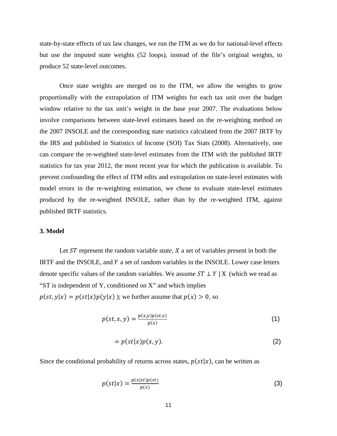state-by-state effects of tax law changes, we run the ITM as we do for national-level effects but use the imputed state weights (52 loops), instead of the file's original weights, to produce 52 state-level outcomes.

Once state weights are merged on to the ITM, we allow the weights to grow proportionally with the extrapolation of ITM weights for each tax unit over the budget window relative to the tax unit's weight in the base year 2007. The evaluations below involve comparisons between state-level estimates based on the re-weighting method on the 2007 INSOLE and the corresponding state statistics calculated from the 2007 IRTF by the IRS and published in Statistics of Income (SOI) Tax Stats (2008). Alternatively, one can compare the re-weighted state-level estimates from the ITM with the published IRTF statistics for tax year 2012, the most recent year for which the publication is available. To prevent confounding the effect of ITM edits and extrapolation on state-level estimates with model errors in the re-weighting estimation, we chose to evaluate state-level estimates produced by the re-weighted INSOLE, rather than by the re-weighted ITM, against published IRTF statistics.

#### **3. Model**

Let *ST* represent the random variable *state*, *X* a set of variables present in both the IRTF and the INSOLE, and  $Y$  a set of random variables in the INSOLE. Lower case letters denote specific values of the random variables. We assume  $ST \perp Y \mid X$  (which we read as "ST is independent of Y, conditioned on X" and which implies  $p(st, y|x) = p(st|x)p(y|x)$ ; we further assume that  $p(x) > 0$ , so

$$
p(st,x,y) = \frac{p(x,y)p(st,x)}{p(x)}
$$
 (1)

$$
= p(st|x)p(x, y). \tag{2}
$$

Since the conditional probability of returns across states,  $p(st|x)$ , can be written as

$$
p(st|x) = \frac{p(x|st)p(st)}{p(x)}
$$
 (3)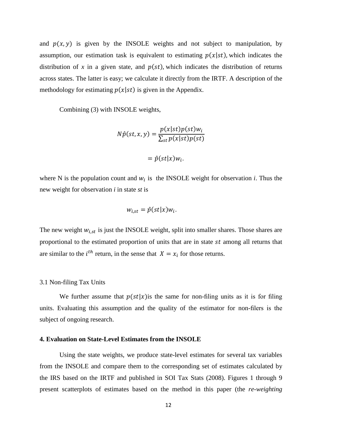and  $p(x, y)$  is given by the INSOLE weights and not subject to manipulation, by assumption, our estimation task is equivalent to estimating  $p(x|st)$ , which indicates the distribution of x in a given state, and  $p(st)$ , which indicates the distribution of returns across states. The latter is easy; we calculate it directly from the IRTF. A description of the methodology for estimating  $p(x|st)$  is given in the Appendix.

Combining (3) with INSOLE weights,

$$
N\hat{p}(st, x, y) = \frac{p(x|st)p(st)w_i}{\sum_{st} p(x|st)p(st)}
$$

$$
= \hat{p}(st|x)w_i.
$$

where N is the population count and  $w_i$  is the INSOLE weight for observation *i*. Thus the new weight for observation *i* in state *st* is

$$
w_{i,st} = \hat{p}(st|x)w_i.
$$

The new weight  $w_{i, st}$  is just the INSOLE weight, split into smaller shares. Those shares are proportional to the estimated proportion of units that are in state *st* among all returns that are similar to the *i*<sup>th</sup> return, in the sense that  $X = x_i$  for those returns.

#### 3.1 Non-filing Tax Units

We further assume that  $p(st|x)$  is the same for non-filing units as it is for filing units. Evaluating this assumption and the quality of the estimator for non-filers is the subject of ongoing research.

## **4. Evaluation on State-Level Estimates from the INSOLE**

Using the state weights, we produce state-level estimates for several tax variables from the INSOLE and compare them to the corresponding set of estimates calculated by the IRS based on the IRTF and published in SOI Tax Stats (2008). Figures 1 through 9 present scatterplots of estimates based on the method in this paper (the *re-weighting*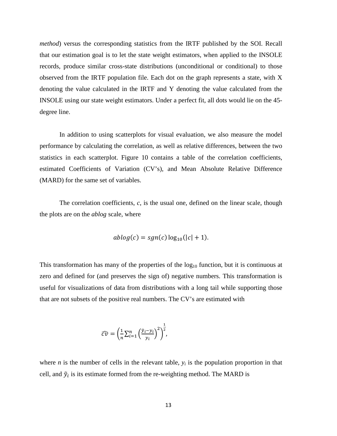*method*) versus the corresponding statistics from the IRTF published by the SOI. Recall that our estimation goal is to let the state weight estimators, when applied to the INSOLE records, produce similar cross-state distributions (unconditional or conditional) to those observed from the IRTF population file. Each dot on the graph represents a state, with X denoting the value calculated in the IRTF and Y denoting the value calculated from the INSOLE using our state weight estimators. Under a perfect fit, all dots would lie on the 45 degree line.

In addition to using scatterplots for visual evaluation, we also measure the model performance by calculating the correlation, as well as relative differences, between the two statistics in each scatterplot. Figure 10 contains a table of the correlation coefficients, estimated Coefficients of Variation (CV's), and Mean Absolute Relative Difference (MARD) for the same set of variables.

The correlation coefficients, *c*, is the usual one, defined on the linear scale, though the plots are on the *ablog* scale, where

$$
ablog(c) = sgn(c)log_{10}(|c|+1).
$$

This transformation has many of the properties of the  $log_{10}$  function, but it is continuous at zero and defined for (and preserves the sign of) negative numbers. This transformation is useful for visualizations of data from distributions with a long tail while supporting those that are not subsets of the positive real numbers. The CV's are estimated with

$$
\widehat{cv} = \left(\frac{1}{n}\sum_{i=1}^n \left(\frac{\tilde{y}_i - y_i}{y_i}\right)^2\right)^{\frac{1}{2}},
$$

where *n* is the number of cells in the relevant table,  $y_i$  is the population proportion in that cell, and  $\tilde{y}_i$  is its estimate formed from the re-weighting method. The MARD is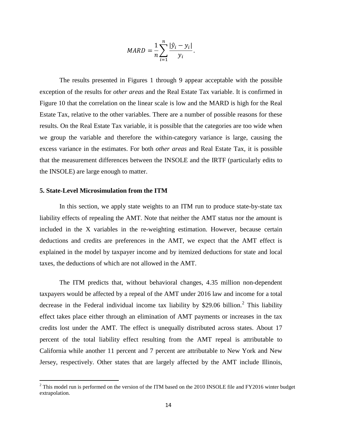$$
MARD = \frac{1}{n} \sum_{i=1}^{n} \frac{|\hat{y}_i - y_i|}{y_i}.
$$

The results presented in Figures 1 through 9 appear acceptable with the possible exception of the results for *other areas* and the Real Estate Tax variable. It is confirmed in Figure 10 that the correlation on the linear scale is low and the MARD is high for the Real Estate Tax, relative to the other variables. There are a number of possible reasons for these results. On the Real Estate Tax variable, it is possible that the categories are too wide when we group the variable and therefore the within-category variance is large, causing the excess variance in the estimates. For both *other areas* and Real Estate Tax, it is possible that the measurement differences between the INSOLE and the IRTF (particularly edits to the INSOLE) are large enough to matter.

#### **5. State-Level Microsimulation from the ITM**

In this section, we apply state weights to an ITM run to produce state-by-state tax liability effects of repealing the AMT. Note that neither the AMT status nor the amount is included in the X variables in the re-weighting estimation. However, because certain deductions and credits are preferences in the AMT, we expect that the AMT effect is explained in the model by taxpayer income and by itemized deductions for state and local taxes, the deductions of which are not allowed in the AMT.

The ITM predicts that, without behavioral changes, 4.35 million non-dependent taxpayers would be affected by a repeal of the AMT under 2016 law and income for a total decrease in the Federal individual income tax liability by \$[2](#page-14-0)9.06 billion.<sup>2</sup> This liability effect takes place either through an elimination of AMT payments or increases in the tax credits lost under the AMT. The effect is unequally distributed across states. About 17 percent of the total liability effect resulting from the AMT repeal is attributable to California while another 11 percent and 7 percent are attributable to New York and New Jersey, respectively. Other states that are largely affected by the AMT include Illinois,

<span id="page-14-0"></span> $2$  This model run is performed on the version of the ITM based on the 2010 INSOLE file and FY2016 winter budget extrapolation.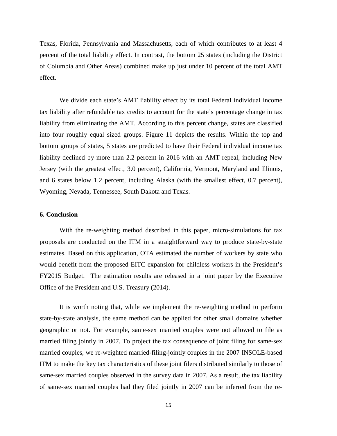Texas, Florida, Pennsylvania and Massachusetts, each of which contributes to at least 4 percent of the total liability effect. In contrast, the bottom 25 states (including the District of Columbia and Other Areas) combined make up just under 10 percent of the total AMT effect.

We divide each state's AMT liability effect by its total Federal individual income tax liability after refundable tax credits to account for the state's percentage change in tax liability from eliminating the AMT. According to this percent change, states are classified into four roughly equal sized groups. Figure 11 depicts the results. Within the top and bottom groups of states, 5 states are predicted to have their Federal individual income tax liability declined by more than 2.2 percent in 2016 with an AMT repeal, including New Jersey (with the greatest effect, 3.0 percent), California, Vermont, Maryland and Illinois, and 6 states below 1.2 percent, including Alaska (with the smallest effect, 0.7 percent), Wyoming, Nevada, Tennessee, South Dakota and Texas.

### **6. Conclusion**

With the re-weighting method described in this paper, micro-simulations for tax proposals are conducted on the ITM in a straightforward way to produce state-by-state estimates. Based on this application, OTA estimated the number of workers by state who would benefit from the proposed EITC expansion for childless workers in the President's FY2015 Budget. The estimation results are released in a joint paper by the Executive Office of the President and U.S. Treasury (2014).

It is worth noting that, while we implement the re-weighting method to perform state-by-state analysis, the same method can be applied for other small domains whether geographic or not. For example, same-sex married couples were not allowed to file as married filing jointly in 2007. To project the tax consequence of joint filing for same-sex married couples, we re-weighted married-filing-jointly couples in the 2007 INSOLE-based ITM to make the key tax characteristics of these joint filers distributed similarly to those of same-sex married couples observed in the survey data in 2007. As a result, the tax liability of same-sex married couples had they filed jointly in 2007 can be inferred from the re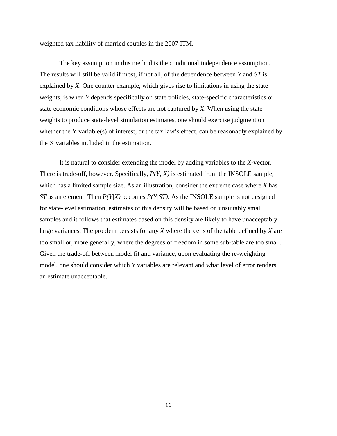weighted tax liability of married couples in the 2007 ITM.

The key assumption in this method is the conditional independence assumption. The results will still be valid if most, if not all, of the dependence between *Y* and *ST* is explained by *X*. One counter example, which gives rise to limitations in using the state weights, is when *Y* depends specifically on state policies, state-specific characteristics or state economic conditions whose effects are not captured by *X*. When using the state weights to produce state-level simulation estimates, one should exercise judgment on whether the Y variable(s) of interest, or the tax law's effect, can be reasonably explained by the X variables included in the estimation.

It is natural to consider extending the model by adding variables to the *X*-vector. There is trade-off, however. Specifically, *P(Y, X)* is estimated from the INSOLE sample, which has a limited sample size. As an illustration, consider the extreme case where *X* has *ST* as an element. Then *P(Y|X)* becomes *P(Y|ST)*. As the INSOLE sample is not designed for state-level estimation, estimates of this density will be based on unsuitably small samples and it follows that estimates based on this density are likely to have unacceptably large variances. The problem persists for any *X* where the cells of the table defined by *X* are too small or, more generally, where the degrees of freedom in some sub-table are too small. Given the trade-off between model fit and variance, upon evaluating the re-weighting model, one should consider which *Y* variables are relevant and what level of error renders an estimate unacceptable.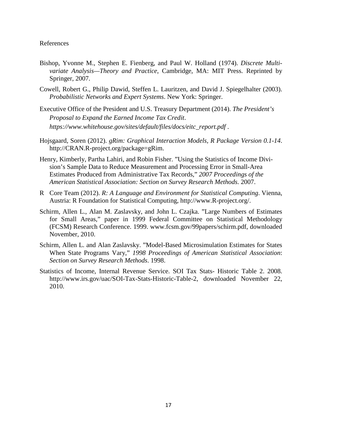#### References

- Bishop, Yvonne M., Stephen E. Fienberg, and Paul W. Holland (1974). *Discrete Multivariate Analysis—Theory and Practice*, Cambridge, MA: MIT Press. Reprinted by Springer, 2007.
- Cowell, Robert G., Philip Dawid, Steffen L. Lauritzen, and David J. Spiegelhalter (2003). *Probabilistic Networks and Expert Systems*. New York: Springer.
- Executive Office of the President and U.S. Treasury Department (2014). *The President's Proposal to Expand the Earned Income Tax Credit*. *https://www.whitehouse.gov/sites/default/files/docs/eitc\_report.pdf* .
- Hojsgaard, Soren (2012). *gRim: Graphical Interaction Models, R Package Version 0.1-14*. http://CRAN.R-project.org/package=gRim.
- Henry, Kimberly, Partha Lahiri, and Robin Fisher. "Using the Statistics of Income Division's Sample Data to Reduce Measurement and Processing Error in Small-Area Estimates Produced from Administrative Tax Records," *2007 Proceedings of the American Statistical Association: Section on Survey Research Methods*. 2007.
- R Core Team (2012). *R: A Language and Environment for Statistical Computing*. Vienna, Austria: R Foundation for Statistical Computing, http://www.R-project.org/.
- Schirm, Allen L., Alan M. Zaslavsky, and John L. Czajka. "Large Numbers of Estimates for Small Areas," paper in 1999 Federal Committee on Statistical Methodology (FCSM) Research Conference. 1999. www.fcsm.gov/99papers/schirm.pdf, downloaded November, 2010.
- Schirm, Allen L. and Alan Zaslavsky. "Model-Based Microsimulation Estimates for States When State Programs Vary," *1998 Proceedings of American Statistical Association*: *Section on Survey Research Methods*. 1998.
- Statistics of Income, Internal Revenue Service. SOI Tax Stats- Historic Table 2. 2008. http://www.irs.gov/uac/SOI-Tax-Stats-Historic-Table-2, downloaded November 22, 2010.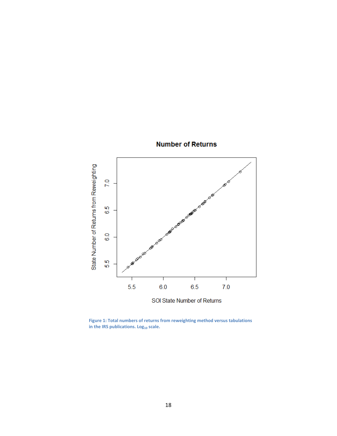

**Number of Returns** 

**Figure 1: Total numbers of returns from reweighting method versus tabulations**  in the IRS publications. Log<sub>10</sub> scale.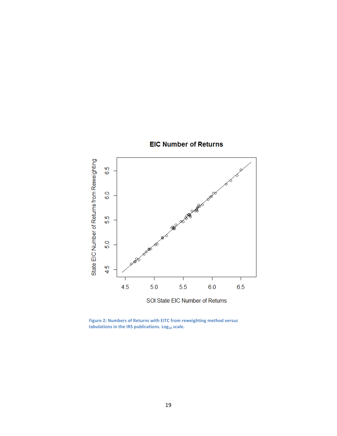

# **EIC Number of Returns**

**Figure 2: Numbers of Returns with EITC from reweighting method versus**  tabulations in the IRS publications. Log<sub>10</sub> scale.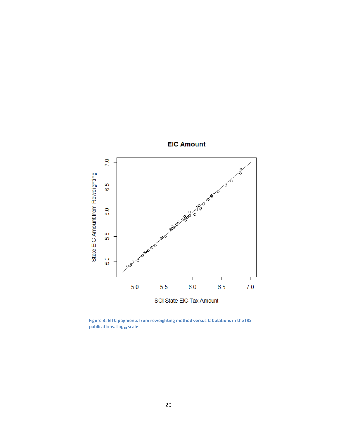

**EIC Amount** 

**Figure 3: EITC payments from reweighting method versus tabulations in the IRS**  publications. Log<sub>10</sub> scale.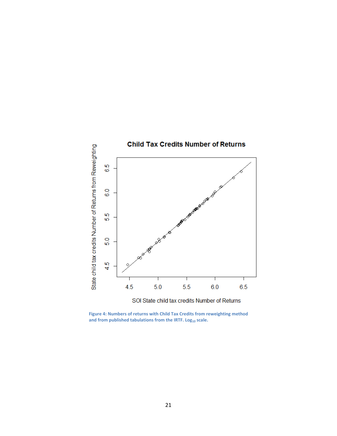

**Figure 4: Numbers of returns with Child Tax Credits from reweighting method**  and from published tabulations from the IRTF. Log<sub>10</sub> scale.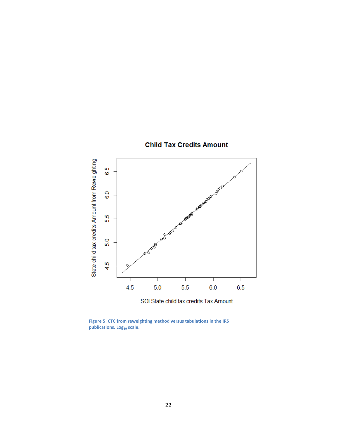

**Child Tax Credits Amount** 

**Figure 5: CTC from reweighting method versus tabulations in the IRS publications. Log<sub>10</sub> scale.**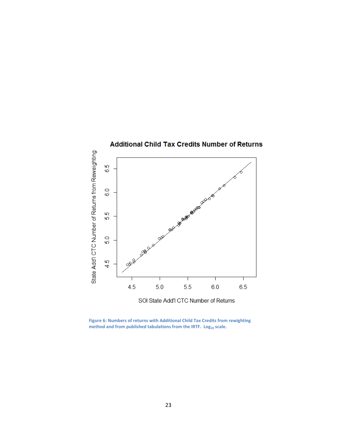

**Figure 6: Numbers of returns with Additional Child Tax Credits from rewighting**  method and from published tabulations from the IRTF. Log<sub>10</sub> scale.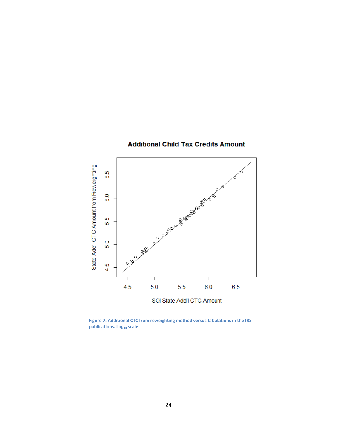

**Additional Child Tax Credits Amount** 

**Figure 7: Additional CTC from reweighting method versus tabulations in the IRS**  publications. Log<sub>10</sub> scale.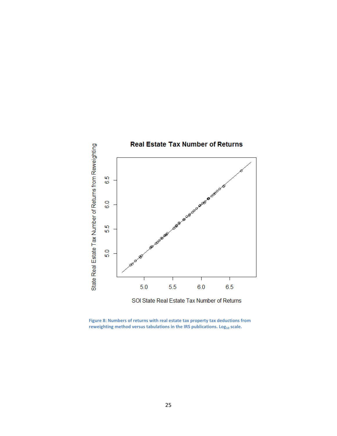

**Figure 8: Numbers of returns with real estate tax property tax deductions from**  reweighting method versus tabulations in the IRS publications. Log<sub>10</sub> scale.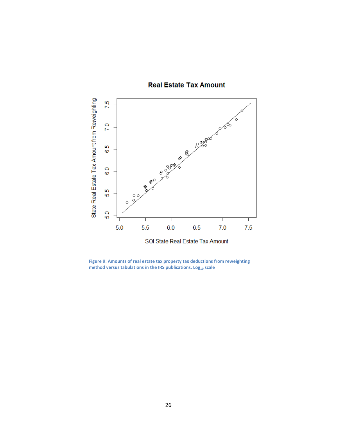

# **Real Estate Tax Amount**

**Figure 9: Amounts of real estate tax property tax deductions from reweighting method versus tabulations in the IRS publications. Log<sub>10</sub> scale**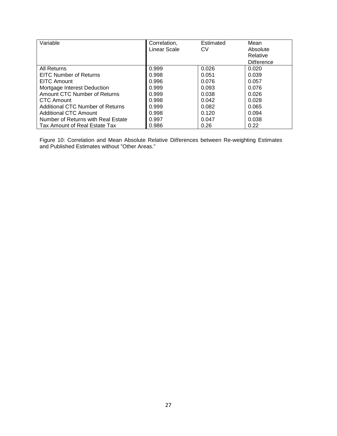| Variable                           | Correlation, | Estimated | Mean       |
|------------------------------------|--------------|-----------|------------|
|                                    | Linear Scale | CV        | Absolute   |
|                                    |              |           | Relative   |
|                                    |              |           | Difference |
| All Returns                        | 0.999        | 0.026     | 0.020      |
| <b>EITC Number of Returns</b>      | 0.998        | 0.051     | 0.039      |
| EITC Amount                        | 0.996        | 0.076     | 0.057      |
| Mortgage Interest Deduction        | 0.999        | 0.093     | 0.076      |
| Amount CTC Number of Returns       | 0.999        | 0.038     | 0.026      |
| CTC Amount                         | 0.998        | 0.042     | 0.028      |
| Additional CTC Number of Returns   | 0.999        | 0.082     | 0.065      |
| Additional CTC Amount              | 0.998        | 0.120     | 0.094      |
| Number of Returns with Real Estate | 0.997        | 0.047     | 0.038      |
| Tax Amount of Real Estate Tax      | 0.986        | 0.26      | 0.22       |

Figure 10: Correlation and Mean Absolute Relative Differences between Re-weighting Estimates and Published Estimates without "Other Areas."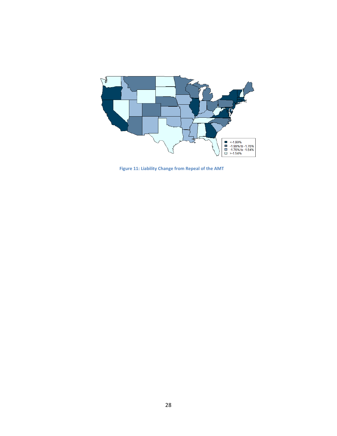

**Figure 11: Liability Change from Repeal of the AMT**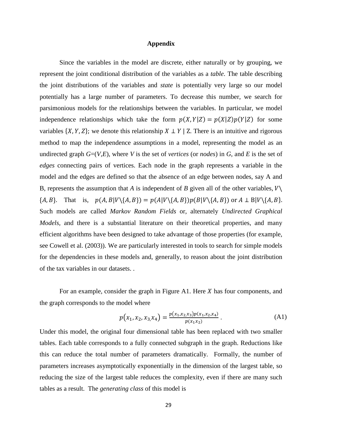#### **Appendix**

Since the variables in the model are discrete, either naturally or by grouping, we represent the joint conditional distribution of the variables as a *table*. The table describing the joint distributions of the variables and *state* is potentially very large so our model potentially has a large number of parameters. To decrease this number, we search for parsimonious models for the relationships between the variables. In particular, we model independence relationships which take the form  $p(X, Y|Z) = p(X|Z)p(Y|Z)$  for some variables  $\{X, Y, Z\}$ ; we denote this relationship  $X \perp Y \mid Z$ . There is an intuitive and rigorous method to map the independence assumptions in a model, representing the model as an undirected graph  $G=(V,E)$ , where *V* is the set of *vertices* (or *nodes*) in *G*, and *E* is the set of *edges* connecting pairs of vertices. Each node in the graph represents a variable in the model and the edges are defined so that the absence of an edge between nodes, say A and B, represents the assumption that *A* is independent of *B* given all of the other variables,  $V \setminus$  ${A, B}.$  That is,  $p(A, B|V\{A, B\}) = p(A|V\{A, B\})p(B|V\{A, B\})$  or  $A \perp B|V\{A, B\}.$ Such models are called *Markov Random Fields* or, alternately *Undirected Graphical Models*, and there is a substantial literature on their theoretical properties, and many efficient algorithms have been designed to take advantage of those properties (for example, see Cowell et al. (2003)). We are particularly interested in tools to search for simple models for the dependencies in these models and, generally, to reason about the joint distribution of the tax variables in our datasets. .

For an example, consider the graph in Figure A1. Here  $X$  has four components, and the graph corresponds to the model where

$$
p(x_1, x_2, x_3, x_4) = \frac{p(x_1, x_2, x_3)p(x_1, x_2, x_4)}{p(x_1, x_2)}.
$$
 (A1)

Under this model, the original four dimensional table has been replaced with two smaller tables. Each table corresponds to a fully connected subgraph in the graph. Reductions like this can reduce the total number of parameters dramatically. Formally, the number of parameters increases asymptotically exponentially in the dimension of the largest table, so reducing the size of the largest table reduces the complexity, even if there are many such tables as a result. The *generating class* of this model is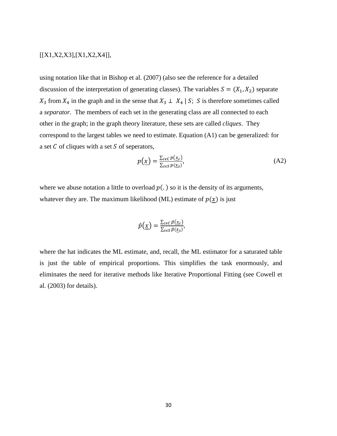# [[X1,X2,X3],[X1,X2,X4]],

using notation like that in Bishop et al. (2007) (also see the reference for a detailed discussion of the interpretation of generating classes). The variables  $S = (X_1, X_2)$  separate  $X_3$  from  $X_4$  in the graph and in the sense that  $X_3 \perp X_4 \mid S$ ; S is therefore sometimes called a *separator*. The members of each set in the generating class are all connected to each other in the graph; in the graph theory literature, these sets are called *cliques*. They correspond to the largest tables we need to estimate. Equation (A1) can be generalized: for a set  $C$  of cliques with a set  $S$  of seperators,

$$
p(\underline{x}) = \frac{\sum_{c \in C} p(\underline{x}_c)}{\sum_{s \in S} p(\underline{x}_s)},
$$
(A2)

where we abuse notation a little to overload  $p(.)$  so it is the density of its arguments, whatever they are. The maximum likelihood (ML) estimate of  $p(x)$  is just

$$
\hat{p}(\underline{x}) = \frac{\sum_{c \in C} \hat{p}(\underline{x}_c)}{\sum_{s \in S} \hat{p}(\underline{x}_s)},
$$

where the hat indicates the ML estimate, and, recall, the ML estimator for a saturated table is just the table of empirical proportions. This simplifies the task enormously, and eliminates the need for iterative methods like Iterative Proportional Fitting (see Cowell et al. (2003) for details).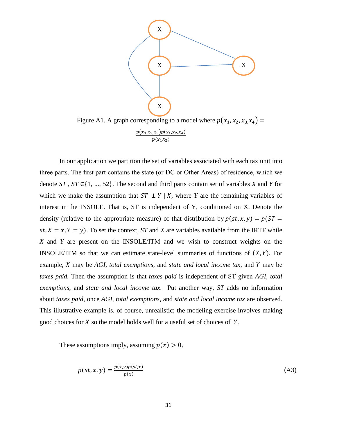

In our application we partition the set of variables associated with each tax unit into three parts. The first part contains the state (or DC or Other Areas) of residence, which we denote *ST* , *ST* ∈{1, ..., 52}. The second and third parts contain set of variables *X* and *Y* for which we make the assumption that  $ST \perp Y | X$ , where *Y* are the remaining variables of interest in the INSOLE. That is, ST is independent of Y, conditioned on X. Denote the density (relative to the appropriate measure) of that distribution by  $p(st, x, y) = p(ST =$  $st, X = x, Y = y$ . To set the context, *ST* and *X* are variables available from the IRTF while *X* and *Y* are present on the INSOLE/ITM and we wish to construct weights on the INSOLE/ITM so that we can estimate state-level summaries of functions of  $(X, Y)$ . For example, *X* may be *AGI*, *total exemptions*, and *state and local income tax*, and *Y* may be *taxes paid.* Then the assumption is that *taxes paid* is independent of ST given *AGI*, *total exemptions*, and *state and local income tax*. Put another way, *ST* adds no information about *taxes paid*, once *AGI*, *total exemptions*, and *state and local income tax* are observed. This illustrative example is, of course, unrealistic; the modeling exercise involves making good choices for  $X$  so the model holds well for a useful set of choices of  $Y$ .

 $p(x_1x_2)$ 

These assumptions imply, assuming  $p(x) > 0$ ,

$$
p(st, x, y) = \frac{p(x, y)p(st, x)}{p(x)}
$$
\n(A3)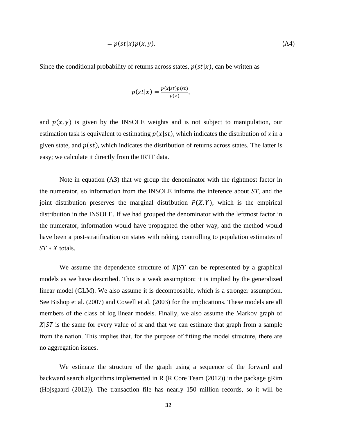$$
= p(st|x)p(x, y). \tag{A4}
$$

Since the conditional probability of returns across states,  $p(st|x)$ , can be written as

$$
p(st|x) = \frac{p(x|st)p(st)}{p(x)},
$$

and  $p(x, y)$  is given by the INSOLE weights and is not subject to manipulation, our estimation task is equivalent to estimating  $p(x|st)$ , which indicates the distribution of x in a given state, and  $p(st)$ , which indicates the distribution of returns across states. The latter is easy; we calculate it directly from the IRTF data.

Note in equation (A3) that we group the denominator with the rightmost factor in the numerator, so information from the INSOLE informs the inference about *ST*, and the joint distribution preserves the marginal distribution  $P(X, Y)$ , which is the empirical distribution in the INSOLE. If we had grouped the denominator with the leftmost factor in the numerator, information would have propagated the other way, and the method would have been a post-stratification on states with raking, controlling to population estimates of  $ST * X$  totals.

We assume the dependence structure of  $X|ST$  can be represented by a graphical models as we have described. This is a weak assumption; it is implied by the generalized linear model (GLM). We also assume it is decomposable, which is a stronger assumption. See Bishop et al. (2007) and Cowell et al. (2003) for the implications. These models are all members of the class of log linear models. Finally, we also assume the Markov graph of  $X|ST$  is the same for every value of *st* and that we can estimate that graph from a sample from the nation. This implies that, for the purpose of fitting the model structure, there are no aggregation issues.

We estimate the structure of the graph using a sequence of the forward and backward search algorithms implemented in R (R Core Team (2012)) in the package gRim (Hojsgaard (2012)). The transaction file has nearly 150 million records, so it will be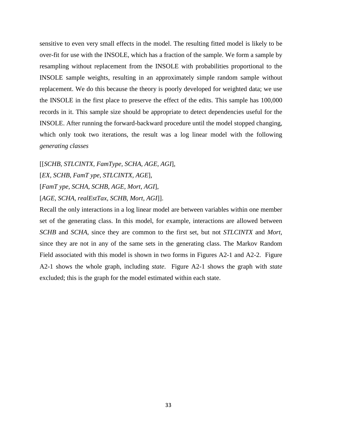sensitive to even very small effects in the model. The resulting fitted model is likely to be over-fit for use with the INSOLE, which has a fraction of the sample. We form a sample by resampling without replacement from the INSOLE with probabilities proportional to the INSOLE sample weights, resulting in an approximately simple random sample without replacement. We do this because the theory is poorly developed for weighted data; we use the INSOLE in the first place to preserve the effect of the edits. This sample has 100,000 records in it. This sample size should be appropriate to detect dependencies useful for the INSOLE. After running the forward-backward procedure until the model stopped changing, which only took two iterations, the result was a log linear model with the following *generating classes*

[[*SCHB, STLCINTX, FamType, SCHA, AGE, AGI*], [*EX, SCHB, FamT ype, STLCINTX, AGE*], [*FamT ype, SCHA, SCHB, AGE, Mort, AGI*], [*AGE, SCHA, realEstTax, SCHB, Mort, AGI*]].

Recall the only interactions in a log linear model are between variables within one member set of the generating class. In this model, for example, interactions are allowed between *SCHB* and *SCHA*, since they are common to the first set, but not *STLCINTX* and *Mort*, since they are not in any of the same sets in the generating class. The Markov Random Field associated with this model is shown in two forms in Figures A2-1 and A2-2. Figure A2-1 shows the whole graph, including *state*. Figure A2-1 shows the graph with *state* excluded; this is the graph for the model estimated within each state.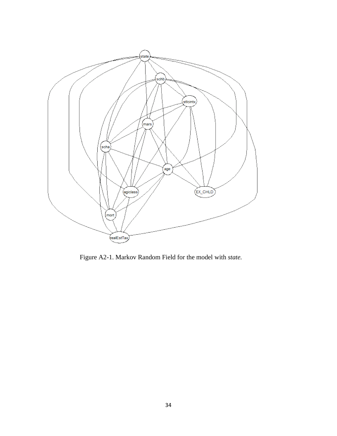

Figure A2-1. Markov Random Field for the model with *state.*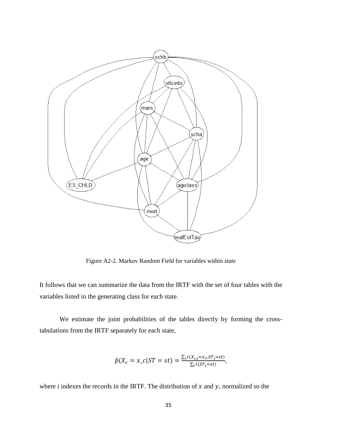

Figure A2-2. Markov Random Field for variables within *state*

It follows that we can summarize the data from the IRTF with the set of four tables with the variables listed in the generating class for each state.

We estimate the joint probabilities of the tables directly by forming the crosstabulations from the IRTF separately for each state,

$$
\hat{p}(X_c = x_c | ST = st) = \frac{\sum_i I(X_{c,i} = x_c, ST_i = st)}{\sum_i I(ST_i = st)},
$$

where  $i$  indexes the records in the IRTF. The distribution of  $x$  and  $y$ , normalized so the